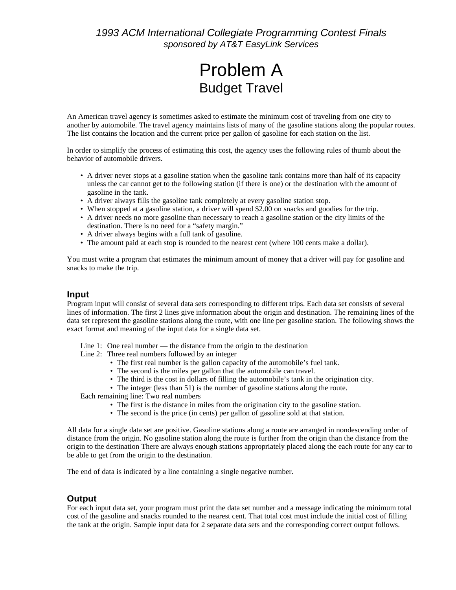# Problem A Budget Travel

An American travel agency is sometimes asked to estimate the minimum cost of traveling from one city to another by automobile. The travel agency maintains lists of many of the gasoline stations along the popular routes. The list contains the location and the current price per gallon of gasoline for each station on the list.

In order to simplify the process of estimating this cost, the agency uses the following rules of thumb about the behavior of automobile drivers.

- A driver never stops at a gasoline station when the gasoline tank contains more than half of its capacity unless the car cannot get to the following station (if there is one) or the destination with the amount of gasoline in the tank.
- A driver always fills the gasoline tank completely at every gasoline station stop.
- When stopped at a gasoline station, a driver will spend \$2.00 on snacks and goodies for the trip.
- A driver needs no more gasoline than necessary to reach a gasoline station or the city limits of the destination. There is no need for a "safety margin."
- A driver always begins with a full tank of gasoline.
- The amount paid at each stop is rounded to the nearest cent (where 100 cents make a dollar).

You must write a program that estimates the minimum amount of money that a driver will pay for gasoline and snacks to make the trip.

#### **Input**

Program input will consist of several data sets corresponding to different trips. Each data set consists of several lines of information. The first 2 lines give information about the origin and destination. The remaining lines of the data set represent the gasoline stations along the route, with one line per gasoline station. The following shows the exact format and meaning of the input data for a single data set.

Line 1: One real number — the distance from the origin to the destination

Line 2: Three real numbers followed by an integer

- The first real number is the gallon capacity of the automobile's fuel tank.
- The second is the miles per gallon that the automobile can travel.
- The third is the cost in dollars of filling the automobile's tank in the origination city.
- The integer (less than 51) is the number of gasoline stations along the route.

Each remaining line: Two real numbers

- The first is the distance in miles from the origination city to the gasoline station.
- The second is the price (in cents) per gallon of gasoline sold at that station.

All data for a single data set are positive. Gasoline stations along a route are arranged in nondescending order of distance from the origin. No gasoline station along the route is further from the origin than the distance from the origin to the destination There are always enough stations appropriately placed along the each route for any car to be able to get from the origin to the destination.

The end of data is indicated by a line containing a single negative number.

#### **Output**

For each input data set, your program must print the data set number and a message indicating the minimum total cost of the gasoline and snacks rounded to the nearest cent. That total cost must include the initial cost of filling the tank at the origin. Sample input data for 2 separate data sets and the corresponding correct output follows.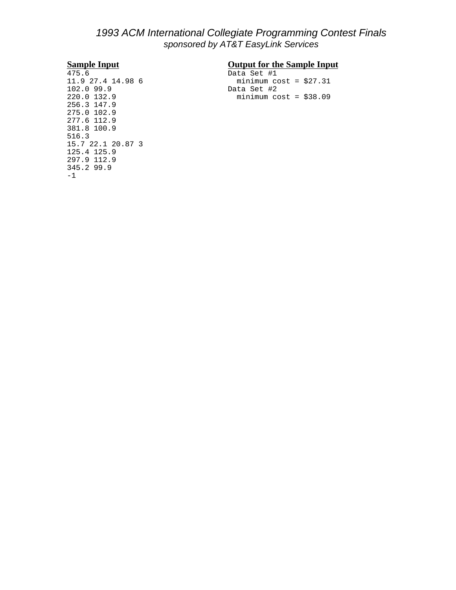475.6 Data Set #1<br>11.9 27.4 14.98 6 minimum co 102.0 99.9 Data Set #2 256.3 147.9 275.0 102.9 277.6 112.9 381.8 100.9 516.3 15.7 22.1 20.87 3 125.4 125.9 297.9 112.9 345.2 99.9 -1

# **Sample Input**<br>475.6 **Output for the Sample Input**<br>Data Set #1

11.9 27.4 14.98 6 minimum cost = \$27.31<br>102.0 99.9 Data Set #2 minimum cost = \$38.09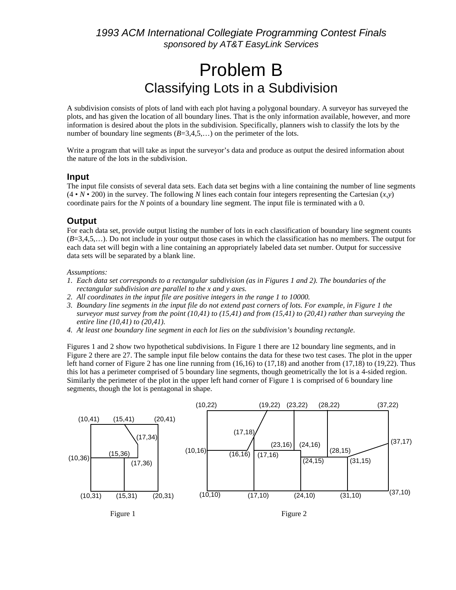# Problem B Classifying Lots in a Subdivision

A subdivision consists of plots of land with each plot having a polygonal boundary. A surveyor has surveyed the plots, and has given the location of all boundary lines. That is the only information available, however, and more information is desired about the plots in the subdivision. Specifically, planners wish to classify the lots by the number of boundary line segments  $(B=3,4,5,...)$  on the perimeter of the lots.

Write a program that will take as input the surveyor's data and produce as output the desired information about the nature of the lots in the subdivision.

#### **Input**

The input file consists of several data sets. Each data set begins with a line containing the number of line segments  $(4 \cdot N \cdot 200)$  in the survey. The following *N* lines each contain four integers representing the Cartesian  $(x, y)$ coordinate pairs for the *N* points of a boundary line segment. The input file is terminated with a 0.

#### **Output**

For each data set, provide output listing the number of lots in each classification of boundary line segment counts (*B*=3,4,5,…). Do not include in your output those cases in which the classification has no members. The output for each data set will begin with a line containing an appropriately labeled data set number. Output for successive data sets will be separated by a blank line.

#### *Assumptions:*

- *1. Each data set corresponds to a rectangular subdivision (as in Figures 1 and 2). The boundaries of the rectangular subdivision are parallel to the x and y axes.*
- *2. All coordinates in the input file are positive integers in the range 1 to 10000.*
- *3. Boundary line segments in the input file do not extend past corners of lots. For example, in Figure 1 the surveyor must survey from the point (10,41) to (15,41) and from (15,41) to (20,41) rather than surveying the entire line (10,41) to (20,41).*
- *4. At least one boundary line segment in each lot lies on the subdivision's bounding rectangle.*

Figures 1 and 2 show two hypothetical subdivisions. In Figure 1 there are 12 boundary line segments, and in Figure 2 there are 27. The sample input file below contains the data for these two test cases. The plot in the upper left hand corner of Figure 2 has one line running from (16,16) to (17,18) and another from (17,18) to (19,22). Thus this lot has a perimeter comprised of 5 boundary line segments, though geometrically the lot is a 4-sided region. Similarly the perimeter of the plot in the upper left hand corner of Figure 1 is comprised of 6 boundary line segments, though the lot is pentagonal in shape.

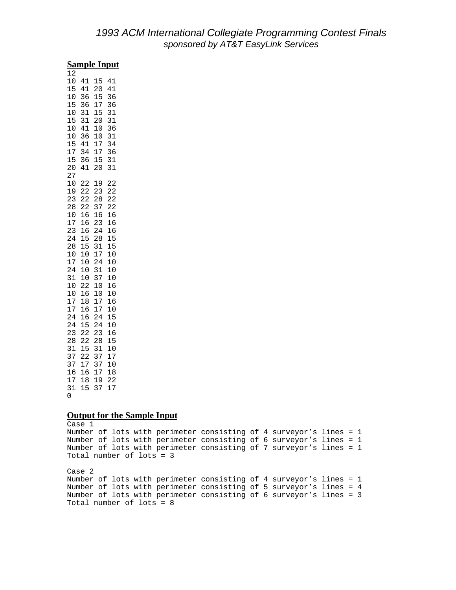#### **Sample Input**

| 12<br>10<br>15<br>10<br>15<br>10<br>15<br>- 10 10 5 7 5 0 7 10 9 3 3 4 5 7 7 9 9 3 3                                                                    | 41<br>41<br>366134343434<br>$\overline{36}$<br>41                                   | 15<br>20<br>1175000775<br>20                                                                               | 41<br>41<br>33333346133333<br>31                                                    |
|---------------------------------------------------------------------------------------------------------------------------------------------------------|-------------------------------------------------------------------------------------|------------------------------------------------------------------------------------------------------------|-------------------------------------------------------------------------------------|
| 28<br>10<br>17<br>23<br>24<br>28<br>10<br>17<br>24<br>31<br>10<br>10<br>17<br>17<br>24<br>24<br>23<br>--<br>28<br>31<br>37<br>37<br>16<br>17<br>31<br>0 | 22<br>22<br>22<br>$^{22}$<br>1665550002686655221<br>22<br>.<br>17<br>16<br>18<br>15 | 19<br>23<br>28<br>$\frac{37}{1}$<br>16<br>23<br>24<br>28<br>3174170077443381<br>37<br>37<br>17<br>19<br>37 | 22<br>22<br>22<br>2166655000060060061006000610060065007008<br>$\overline{22}$<br>17 |

### **Output for the Sample Input**

Case 1 Number of lots with perimeter consisting of 4 surveyor's lines = 1 Number of lots with perimeter consisting of 6 surveyor's lines = 1 Number of lots with perimeter consisting of 7 surveyor's lines = 1 Total number of  $\log = 3$ 

Case 2 Number of lots with perimeter consisting of 4 surveyor's lines = 1 Number of lots with perimeter consisting of 5 surveyor's lines = 4 Number of lots with perimeter consisting of 6 surveyor's lines = 3 Total number of  $\log 5 = 8$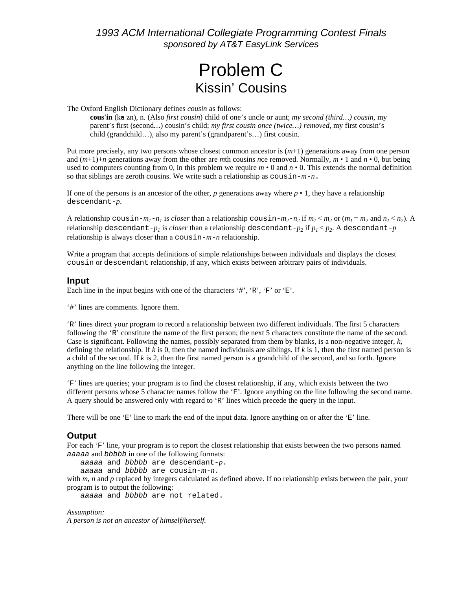# Problem C Kissin' Cousins

The Oxford English Dictionary defines *cousin* as follows:

**cous'in** (ku• zn), n. (Also *first cousin*) child of one's uncle or aunt; *my second (third…) cousin,* my parent's first (second*…*) cousin's child; *my first cousin once (twice…) removed,* my first cousin's child (grandchild…), also my parent's (grandparent's…) first cousin.

Put more precisely, any two persons whose closest common ancestor is (*m*+1) generations away from one person and (*m*+1)+*n* generations away from the other are *m*th cousins *n*ce removed. Normally, *m* • 1 and *n* • 0, but being used to computers counting from 0, in this problem we require  $m \cdot 0$  and  $n \cdot 0$ . This extends the normal definition so that siblings are zeroth cousins. We write such a relationship as cousin-*m*-*n*.

If one of the persons is an ancestor of the other,  $p$  generations away where  $p \cdot 1$ , they have a relationship descendant-*p*.

A relationship cousin- $m_1 - n_1$  is *closer* than a relationship cousin- $m_2 - n_2$  if  $m_1 < m_2$  or  $(m_1 = m_2$  and  $n_1 < n_2)$ . A relationship descendant*-p<sub>1</sub>* is *closer than a relationship descendant-p<sub>2</sub> if*  $p_1$ *<*  $p_2$ *. A descendant-* $p$ relationship is always closer than a cousin-*m*-*n* relationship.

Write a program that accepts definitions of simple relationships between individuals and displays the closest cousin or descendant relationship, if any, which exists between arbitrary pairs of individuals.

#### **Input**

Each line in the input begins with one of the characters '#', 'R', 'F' or 'E'.

'#' lines are comments. Ignore them.

'R' lines direct your program to record a relationship between two different individuals. The first 5 characters following the 'R' constitute the name of the first person; the next 5 characters constitute the name of the second. Case is significant. Following the names, possibly separated from them by blanks, is a non-negative integer, *k*, defining the relationship. If  $k$  is 0, then the named individuals are siblings. If  $k$  is 1, then the first named person is a child of the second. If *k* is 2, then the first named person is a grandchild of the second, and so forth. Ignore anything on the line following the integer.

'F' lines are queries; your program is to find the closest relationship, if any, which exists between the two different persons whose 5 character names follow the 'F'. Ignore anything on the line following the second name. A query should be answered only with regard to 'R' lines which precede the query in the input.

There will be one 'E' line to mark the end of the input data. Ignore anything on or after the 'E' line.

#### **Output**

For each 'F' line, your program is to report the closest relationship that exists between the two persons named aaaaa and bbbbb in one of the following formats:

aaaaa and bbbbb are descendant-*p*.

aaaaa and bbbbb are cousin-*m*-*n*.

with *m*, *n* and *p* replaced by integers calculated as defined above. If no relationship exists between the pair, your program is to output the following:

aaaaa and bbbbb are not related.

*Assumption: A person is not an ancestor of himself/herself.*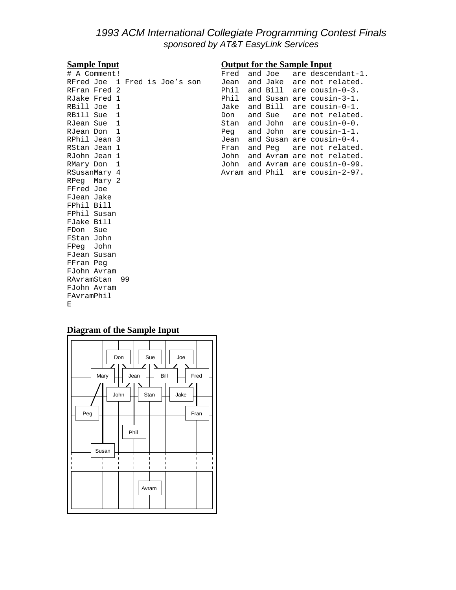# **Sample Input**

| # A Comment! |                    |  |  |  |                               |  |
|--------------|--------------------|--|--|--|-------------------------------|--|
|              |                    |  |  |  | RFred Joe 1 Fred is Joe's son |  |
| RFran Fred 2 |                    |  |  |  |                               |  |
| RJake Fred 1 |                    |  |  |  |                               |  |
| RBill Joe 1  |                    |  |  |  |                               |  |
| RBill Sue 1  |                    |  |  |  |                               |  |
| RJean Sue 1  |                    |  |  |  |                               |  |
| RJean Don 1  |                    |  |  |  |                               |  |
| RPhil Jean 3 |                    |  |  |  |                               |  |
| RStan Jean 1 |                    |  |  |  |                               |  |
| RJohn Jean 1 |                    |  |  |  |                               |  |
| RMary Don 1  |                    |  |  |  |                               |  |
| RSusanMary 4 |                    |  |  |  |                               |  |
| RPeg Mary 2  |                    |  |  |  |                               |  |
| FFred Joe    |                    |  |  |  |                               |  |
| FJean Jake   |                    |  |  |  |                               |  |
| FPhil Bill   |                    |  |  |  |                               |  |
| FPhil Susan  |                    |  |  |  |                               |  |
| FJake Bill   |                    |  |  |  |                               |  |
| FDon Sue     |                    |  |  |  |                               |  |
| FStan John   |                    |  |  |  |                               |  |
| FPeg John    |                    |  |  |  |                               |  |
| FJean Susan  |                    |  |  |  |                               |  |
| FFran Peq    |                    |  |  |  |                               |  |
| FJohn Avram  |                    |  |  |  |                               |  |
|              | RAvramStan<br>- 99 |  |  |  |                               |  |
| FJohn Avram  |                    |  |  |  |                               |  |
| FAvramPhil   |                    |  |  |  |                               |  |
| F.           |                    |  |  |  |                               |  |

# **Output for the Sample Input**

| Fred |           | and Joe are descendant-1.       |
|------|-----------|---------------------------------|
| Jean | and Jake  | are not related.                |
| Phil | and Bill  | are cousin-0-3.                 |
| Phil | and Susan | are cousin-3-1.                 |
| Jake | and Bill  | are cousin-0-1.                 |
| Don  |           | and Sue are not related.        |
| Stan |           | and John are cousin-0-0.        |
|      |           | Peq and John are cousin-1-1.    |
|      |           | Jean and Susan are cousin-0-4.  |
| Fran |           | and Peq are not related.        |
|      |           | John and Avram are not related. |
|      |           | John and Avram are cousin-0-99. |
|      |           | Avram and Phil are cousin-2-97. |

# **Diagram of the Sample Input**

| Don<br>Sue<br>Joe<br>Mary<br>Bill<br>Fred<br>Jean<br>John<br>Jake<br>Stan<br>Peg<br>Fran<br>Phil<br>Susan |
|-----------------------------------------------------------------------------------------------------------|
| Avram                                                                                                     |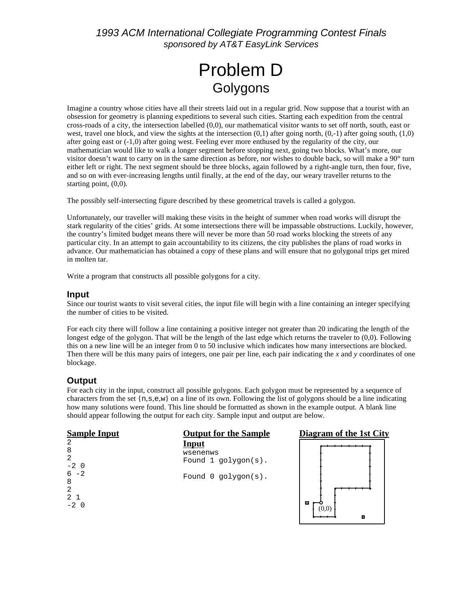# Problem D **Golygons**

Imagine a country whose cities have all their streets laid out in a regular grid. Now suppose that a tourist with an obsession for geometry is planning expeditions to several such cities. Starting each expedition from the central cross-roads of a city, the intersection labelled (0,0), our mathematical visitor wants to set off north, south, east or west, travel one block, and view the sights at the intersection  $(0,1)$  after going north,  $(0,-1)$  after going south,  $(1,0)$ after going east or (-1,0) after going west. Feeling ever more enthused by the regularity of the city, our mathematician would like to walk a longer segment before stopping next, going two blocks. What's more, our visitor doesn't want to carry on in the same direction as before, nor wishes to double back, so will make a 90° turn either left or right. The next segment should be three blocks, again followed by a right-angle turn, then four, five, and so on with ever-increasing lengths until finally, at the end of the day, our weary traveller returns to the starting point, (0,0).

The possibly self-intersecting figure described by these geometrical travels is called a golygon.

Unfortunately, our traveller will making these visits in the height of summer when road works will disrupt the stark regularity of the cities' grids. At some intersections there will be impassable obstructions. Luckily, however, the country's limited budget means there will never be more than 50 road works blocking the streets of any particular city. In an attempt to gain accountability to its citizens, the city publishes the plans of road works in advance. Our mathematician has obtained a copy of these plans and will ensure that no golygonal trips get mired in molten tar.

Write a program that constructs all possible golygons for a city.

#### **Input**

Since our tourist wants to visit several cities, the input file will begin with a line containing an integer specifying the number of cities to be visited.

For each city there will follow a line containing a positive integer not greater than 20 indicating the length of the longest edge of the golygon. That will be the length of the last edge which returns the traveler to (0,0). Following this on a new line will be an integer from 0 to 50 inclusive which indicates how many intersections are blocked. Then there will be this many pairs of integers, one pair per line, each pair indicating the *x* and *y* coordinates of one blockage.

#### **Output**

For each city in the input, construct all possible golygons. Each golygon must be represented by a sequence of characters from the set  $\{n, s, e, w\}$  on a line of its own. Following the list of golygons should be a line indicating how many solutions were found. This line should be formatted as shown in the example output. A blank line should appear following the output for each city. Sample input and output are below.

#### **Sample Input**

# **Output for the Sample Input** wsenenws Found 1 golygon(s). Found 0 golygon(s).



**Diagram of the 1st City**

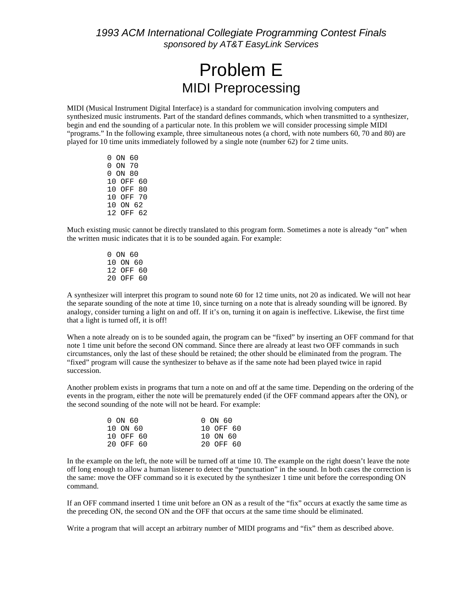# Problem E MIDI Preprocessing

MIDI (Musical Instrument Digital Interface) is a standard for communication involving computers and synthesized music instruments. Part of the standard defines commands, which when transmitted to a synthesizer, begin and end the sounding of a particular note. In this problem we will consider processing simple MIDI "programs." In the following example, three simultaneous notes (a chord, with note numbers 60, 70 and 80) are played for 10 time units immediately followed by a single note (number 62) for 2 time units.

Much existing music cannot be directly translated to this program form. Sometimes a note is already "on" when the written music indicates that it is to be sounded again. For example:

> 0 ON 60 10 ON 60 12 OFF 60 20 OFF 60

A synthesizer will interpret this program to sound note 60 for 12 time units, not 20 as indicated. We will not hear the separate sounding of the note at time 10, since turning on a note that is already sounding will be ignored. By analogy, consider turning a light on and off. If it's on, turning it on again is ineffective. Likewise, the first time that a light is turned off, it is off!

When a note already on is to be sounded again, the program can be "fixed" by inserting an OFF command for that note 1 time unit before the second ON command. Since there are already at least two OFF commands in such circumstances, only the last of these should be retained; the other should be eliminated from the program. The "fixed" program will cause the synthesizer to behave as if the same note had been played twice in rapid succession.

Another problem exists in programs that turn a note on and off at the same time. Depending on the ordering of the events in the program, either the note will be prematurely ended (if the OFF command appears after the ON), or the second sounding of the note will not be heard. For example:

| 0 ON 60   | $0$ ON 60   |
|-----------|-------------|
| 10 ON 60  | 10 OFF 60   |
| 10 OFF 60 | 10 ON 60    |
| 20 OFF 60 | $20$ OFF 60 |

In the example on the left, the note will be turned off at time 10. The example on the right doesn't leave the note off long enough to allow a human listener to detect the "punctuation" in the sound. In both cases the correction is the same: move the OFF command so it is executed by the synthesizer 1 time unit before the corresponding ON command.

If an OFF command inserted 1 time unit before an ON as a result of the "fix" occurs at exactly the same time as the preceding ON, the second ON and the OFF that occurs at the same time should be eliminated.

Write a program that will accept an arbitrary number of MIDI programs and "fix" them as described above.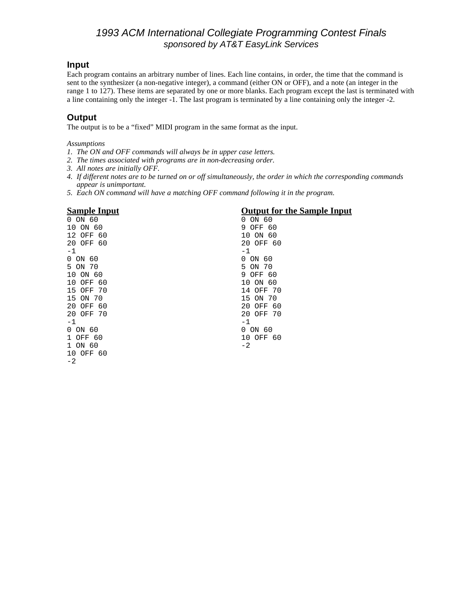#### **Input**

Each program contains an arbitrary number of lines. Each line contains, in order, the time that the command is sent to the synthesizer (a non-negative integer), a command (either ON or OFF), and a note (an integer in the range 1 to 127). These items are separated by one or more blanks. Each program except the last is terminated with a line containing only the integer -1. The last program is terminated by a line containing only the integer -2.

### **Output**

The output is to be a "fixed" MIDI program in the same format as the input.

#### *Assumptions*

- *1. The ON and OFF commands will always be in upper case letters.*
- *2. The times associated with programs are in non-decreasing order.*
- *3. All notes are initially OFF.*
- *4. If different notes are to be turned on or off simultaneously, the order in which the corresponding commands appear is unimportant.*
- *5. Each ON command will have a matching OFF command following it in the program.*

0 ON 60 0 ON 60 0 ON 60 0 ON 60 0 ON 60 0 ON 60 0 ON 60 0 ON 60 0 ON 60 0 ON 60 0 ON 60 0 ON 60 0 ON 60 0 ON 60 12 OFF 60<br>20 OFF 60  $-1$   $-1$ 0 ON 60 0 ON 60 5 ON 70 5 ON 70 10 ON 60 9 OFF 60 10 OFF 60 10 ON 60 15 OFF 70 14 OFF 70<br>15 ON 70 15 ON 70 15 ON 70 15 ON 70<br>20 OFF 60 20 OFF 61 20 OFF 60 20 OFF 60  $-1$   $-1$ 0 ON 60 0 ON 60 1 OFF 60 10 OFF 60 2  $1$  ON  $60$ 10 OFF 60 -2

# **Sample Input Conserversity Conserversity Conserversity Conserversity Conserversity Conserversity Conserversity Conserversity Conserversity Conserversity Conserversity Conserversity Conserversity**

9 OFF 60<br>10 ON 60 20 OFF 60 20 OFF 70 20 OFF 70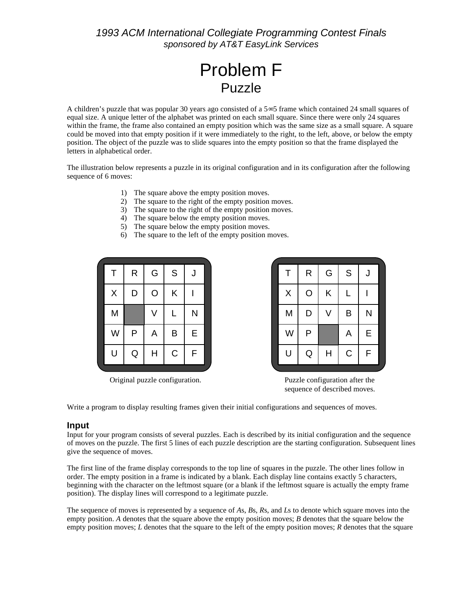# Problem F Puzzle

A children's puzzle that was popular 30 years ago consisted of a 5∞5 frame which contained 24 small squares of equal size. A unique letter of the alphabet was printed on each small square. Since there were only 24 squares within the frame, the frame also contained an empty position which was the same size as a small square. A square could be moved into that empty position if it were immediately to the right, to the left, above, or below the empty position. The object of the puzzle was to slide squares into the empty position so that the frame displayed the letters in alphabetical order.

The illustration below represents a puzzle in its original configuration and in its configuration after the following sequence of 6 moves:

- 1) The square above the empty position moves.
- 2) The square to the right of the empty position moves.
- 3) The square to the right of the empty position moves.
- 4) The square below the empty position moves.
- 5) The square below the empty position moves.
- 6) The square to the left of the empty position moves.

| Τ                       | $\mathsf{R}% _{T}$ | G              | S           | J |  |
|-------------------------|--------------------|----------------|-------------|---|--|
| $\overline{\mathsf{X}}$ | D                  | $\overline{O}$ | Κ           |   |  |
| M                       |                    | V              | L           | N |  |
| W                       | $\mathsf{P}$       | A              | B           | E |  |
| U                       | Q                  | H              | $\mathsf C$ | F |  |

| Τ       | $\mathsf{R}$ | ${\mathsf G}$ | S           | J            |  |
|---------|--------------|---------------|-------------|--------------|--|
| $\sf X$ | $\circ$      | K             | L           |              |  |
| M       | D            | V             | B           | N            |  |
| W       | $\mathsf{P}$ |               | A           | $\mathsf{E}$ |  |
| U       | Q            | H             | $\mathsf C$ | F            |  |
|         |              |               |             |              |  |

Original puzzle configuration. Puzzle configuration after the sequence of described moves.

Write a program to display resulting frames given their initial configurations and sequences of moves.

### **Input**

Input for your program consists of several puzzles. Each is described by its initial configuration and the sequence of moves on the puzzle. The first 5 lines of each puzzle description are the starting configuration. Subsequent lines give the sequence of moves.

The first line of the frame display corresponds to the top line of squares in the puzzle. The other lines follow in order. The empty position in a frame is indicated by a blank. Each display line contains exactly 5 characters, beginning with the character on the leftmost square (or a blank if the leftmost square is actually the empty frame position). The display lines will correspond to a legitimate puzzle.

The sequence of moves is represented by a sequence of *A*s, *B*s, *R*s, and *L*s to denote which square moves into the empty position. *A* denotes that the square above the empty position moves; *B* denotes that the square below the empty position moves; *L* denotes that the square to the left of the empty position moves; *R* denotes that the square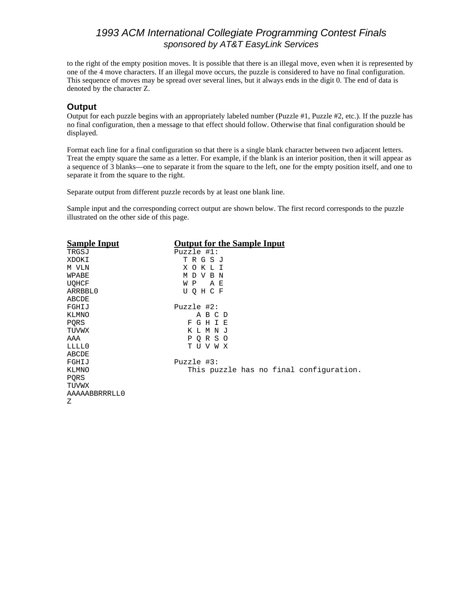to the right of the empty position moves. It is possible that there is an illegal move, even when it is represented by one of the 4 move characters. If an illegal move occurs, the puzzle is considered to have no final configuration. This sequence of moves may be spread over several lines, but it always ends in the digit 0. The end of data is denoted by the character Z.

#### **Output**

Output for each puzzle begins with an appropriately labeled number (Puzzle #1, Puzzle #2, etc.). If the puzzle has no final configuration, then a message to that effect should follow. Otherwise that final configuration should be displayed.

Format each line for a final configuration so that there is a single blank character between two adjacent letters. Treat the empty square the same as a letter. For example, if the blank is an interior position, then it will appear as a sequence of 3 blanks—one to separate it from the square to the left, one for the empty position itself, and one to separate it from the square to the right.

Separate output from different puzzle records by at least one blank line.

Sample input and the corresponding correct output are shown below. The first record corresponds to the puzzle illustrated on the other side of this page.

| <b>Sample Input</b> | <b>Output for the Sample Input</b>      |
|---------------------|-----------------------------------------|
| TRGSJ               | Puzzle #1:                              |
| XDOKI               | TRGSJ                                   |
| M VLN               | хокьт                                   |
| WPABE               | MDVBN                                   |
| UQHCF               | W P<br>ΑE                               |
| ARRBBL0             | UQHCF                                   |
| ABCDE               |                                         |
| FGHIJ               | Puzzle $#2$ :                           |
| KLMNO               | A B C D                                 |
| PQRS                | GHIE<br>F                               |
| TUVWX               | K L M N J                               |
| AAA                 | P Q R S O                               |
| LLLL0               | T U V W X                               |
| ABCDE               |                                         |
| FGHIJ               | Puzzle #3:                              |
| KLMNO               | This puzzle has no final configuration. |
| PQRS                |                                         |
| TUVWX               |                                         |
| AAAAABBRRRLL0       |                                         |
| Ζ                   |                                         |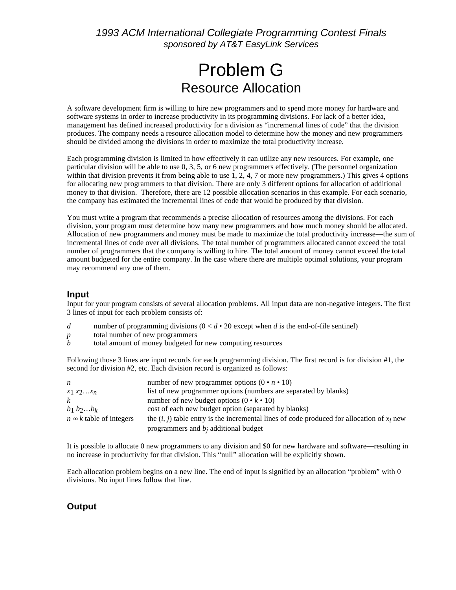# Problem G Resource Allocation

A software development firm is willing to hire new programmers and to spend more money for hardware and software systems in order to increase productivity in its programming divisions. For lack of a better idea, management has defined increased productivity for a division as "incremental lines of code" that the division produces. The company needs a resource allocation model to determine how the money and new programmers should be divided among the divisions in order to maximize the total productivity increase.

Each programming division is limited in how effectively it can utilize any new resources. For example, one particular division will be able to use 0, 3, 5, or 6 new programmers effectively. (The personnel organization within that division prevents it from being able to use 1, 2, 4, 7 or more new programmers.) This gives 4 options for allocating new programmers to that division. There are only 3 different options for allocation of additional money to that division. Therefore, there are 12 possible allocation scenarios in this example. For each scenario, the company has estimated the incremental lines of code that would be produced by that division.

You must write a program that recommends a precise allocation of resources among the divisions. For each division, your program must determine how many new programmers and how much money should be allocated. Allocation of new programmers and money must be made to maximize the total productivity increase—the sum of incremental lines of code over all divisions. The total number of programmers allocated cannot exceed the total number of programmers that the company is willing to hire. The total amount of money cannot exceed the total amount budgeted for the entire company. In the case where there are multiple optimal solutions, your program may recommend any one of them.

#### **Input**

Input for your program consists of several allocation problems. All input data are non-negative integers. The first 3 lines of input for each problem consists of:

- *d* number of programming divisions  $(0 < d \cdot 20$  except when *d* is the end-of-file sentinel)
- *p* total number of new programmers
- *b* total amount of money budgeted for new computing resources

Following those 3 lines are input records for each programming division. The first record is for division #1, the second for division #2, etc. Each division record is organized as follows:

| n                              | number of new programmer options $(0 \cdot n \cdot 10)$                                        |
|--------------------------------|------------------------------------------------------------------------------------------------|
| $x_1 x_2 \ldots x_n$           | list of new programmer options (numbers are separated by blanks)                               |
| $\boldsymbol{k}$               | number of new budget options $(0 \cdot k \cdot 10)$                                            |
| $b_1 b_2 \ldots b_k$           | cost of each new budget option (separated by blanks)                                           |
| $n \infty$ k table of integers | the $(i, j)$ table entry is the incremental lines of code produced for allocation of $x_i$ new |
|                                | programmers and $b_i$ additional budget                                                        |

It is possible to allocate 0 new programmers to any division and \$0 for new hardware and software—resulting in no increase in productivity for that division. This "null" allocation will be explicitly shown.

Each allocation problem begins on a new line. The end of input is signified by an allocation "problem" with 0 divisions. No input lines follow that line.

### **Output**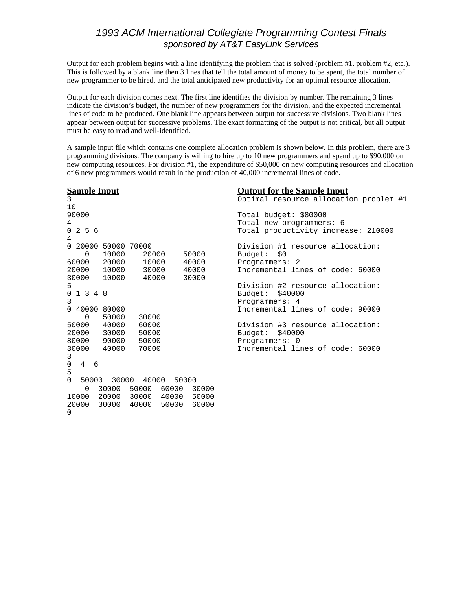Output for each problem begins with a line identifying the problem that is solved (problem #1, problem #2, etc.). This is followed by a blank line then 3 lines that tell the total amount of money to be spent, the total number of new programmer to be hired, and the total anticipated new productivity for an optimal resource allocation.

Output for each division comes next. The first line identifies the division by number. The remaining 3 lines indicate the division's budget, the number of new programmers for the division, and the expected incremental lines of code to be produced. One blank line appears between output for successive divisions. Two blank lines appear between output for successive problems. The exact formatting of the output is not critical, but all output must be easy to read and well-identified.

A sample input file which contains one complete allocation problem is shown below. In this problem, there are 3 programming divisions. The company is willing to hire up to 10 new programmers and spend up to \$90,000 on new computing resources. For division #1, the expenditure of \$50,000 on new computing resources and allocation of 6 new programmers would result in the production of 40,000 incremental lines of code.

| <b>Sample Input</b><br><b>Output for the Sample Input</b><br>$\overline{3}$<br>Optimal resource allocation problem #1<br>10<br>90000<br>Total budget: \$80000<br>4<br>Total new programmers: 6<br>0256<br>Total productivity increase: 210000<br>4<br>0 20000 50000 70000<br>Division #1 resource allocation:<br>10000<br>20000<br>Budget:<br>0<br>50000<br>\$0<br>20000<br>60000<br>10000<br>40000<br>Programmers: 2<br>20000<br>10000<br>30000<br>40000<br>Incremental lines of code: 60000<br>30000 10000<br>40000<br>30000<br>5<br>Division #2 resource allocation:<br>1 3 4 8<br>0<br>Budget: \$40000<br>3<br>Programmers: 4<br>0 40000 80000<br>Incremental lines of code: 90000<br>50000<br>30000<br>$\Omega$<br>50000<br>40000<br>60000<br>Division #3 resource allocation:<br>20000 30000<br>50000<br>Budget:<br>\$40000<br>80000<br>90000 50000<br>Programmers: 0<br>30000<br>40000<br>70000<br>Incremental lines of code: 60000<br>3<br>$\mathbf 0$<br>$4\quad 6$<br>5<br>0<br>50000<br>30000 40000<br>50000<br>$\Omega$<br>30000 50000 60000<br>30000 |  |
|-------------------------------------------------------------------------------------------------------------------------------------------------------------------------------------------------------------------------------------------------------------------------------------------------------------------------------------------------------------------------------------------------------------------------------------------------------------------------------------------------------------------------------------------------------------------------------------------------------------------------------------------------------------------------------------------------------------------------------------------------------------------------------------------------------------------------------------------------------------------------------------------------------------------------------------------------------------------------------------------------------------------------------------------------------------------|--|
|                                                                                                                                                                                                                                                                                                                                                                                                                                                                                                                                                                                                                                                                                                                                                                                                                                                                                                                                                                                                                                                                   |  |
|                                                                                                                                                                                                                                                                                                                                                                                                                                                                                                                                                                                                                                                                                                                                                                                                                                                                                                                                                                                                                                                                   |  |
|                                                                                                                                                                                                                                                                                                                                                                                                                                                                                                                                                                                                                                                                                                                                                                                                                                                                                                                                                                                                                                                                   |  |
|                                                                                                                                                                                                                                                                                                                                                                                                                                                                                                                                                                                                                                                                                                                                                                                                                                                                                                                                                                                                                                                                   |  |
|                                                                                                                                                                                                                                                                                                                                                                                                                                                                                                                                                                                                                                                                                                                                                                                                                                                                                                                                                                                                                                                                   |  |
|                                                                                                                                                                                                                                                                                                                                                                                                                                                                                                                                                                                                                                                                                                                                                                                                                                                                                                                                                                                                                                                                   |  |
|                                                                                                                                                                                                                                                                                                                                                                                                                                                                                                                                                                                                                                                                                                                                                                                                                                                                                                                                                                                                                                                                   |  |
|                                                                                                                                                                                                                                                                                                                                                                                                                                                                                                                                                                                                                                                                                                                                                                                                                                                                                                                                                                                                                                                                   |  |
|                                                                                                                                                                                                                                                                                                                                                                                                                                                                                                                                                                                                                                                                                                                                                                                                                                                                                                                                                                                                                                                                   |  |
|                                                                                                                                                                                                                                                                                                                                                                                                                                                                                                                                                                                                                                                                                                                                                                                                                                                                                                                                                                                                                                                                   |  |
|                                                                                                                                                                                                                                                                                                                                                                                                                                                                                                                                                                                                                                                                                                                                                                                                                                                                                                                                                                                                                                                                   |  |
|                                                                                                                                                                                                                                                                                                                                                                                                                                                                                                                                                                                                                                                                                                                                                                                                                                                                                                                                                                                                                                                                   |  |
|                                                                                                                                                                                                                                                                                                                                                                                                                                                                                                                                                                                                                                                                                                                                                                                                                                                                                                                                                                                                                                                                   |  |
|                                                                                                                                                                                                                                                                                                                                                                                                                                                                                                                                                                                                                                                                                                                                                                                                                                                                                                                                                                                                                                                                   |  |
|                                                                                                                                                                                                                                                                                                                                                                                                                                                                                                                                                                                                                                                                                                                                                                                                                                                                                                                                                                                                                                                                   |  |
|                                                                                                                                                                                                                                                                                                                                                                                                                                                                                                                                                                                                                                                                                                                                                                                                                                                                                                                                                                                                                                                                   |  |
|                                                                                                                                                                                                                                                                                                                                                                                                                                                                                                                                                                                                                                                                                                                                                                                                                                                                                                                                                                                                                                                                   |  |
|                                                                                                                                                                                                                                                                                                                                                                                                                                                                                                                                                                                                                                                                                                                                                                                                                                                                                                                                                                                                                                                                   |  |
|                                                                                                                                                                                                                                                                                                                                                                                                                                                                                                                                                                                                                                                                                                                                                                                                                                                                                                                                                                                                                                                                   |  |
|                                                                                                                                                                                                                                                                                                                                                                                                                                                                                                                                                                                                                                                                                                                                                                                                                                                                                                                                                                                                                                                                   |  |
|                                                                                                                                                                                                                                                                                                                                                                                                                                                                                                                                                                                                                                                                                                                                                                                                                                                                                                                                                                                                                                                                   |  |
|                                                                                                                                                                                                                                                                                                                                                                                                                                                                                                                                                                                                                                                                                                                                                                                                                                                                                                                                                                                                                                                                   |  |
|                                                                                                                                                                                                                                                                                                                                                                                                                                                                                                                                                                                                                                                                                                                                                                                                                                                                                                                                                                                                                                                                   |  |
|                                                                                                                                                                                                                                                                                                                                                                                                                                                                                                                                                                                                                                                                                                                                                                                                                                                                                                                                                                                                                                                                   |  |
| 20000 30000 40000 50000<br>10000                                                                                                                                                                                                                                                                                                                                                                                                                                                                                                                                                                                                                                                                                                                                                                                                                                                                                                                                                                                                                                  |  |
| 20000<br>30000<br>50000<br>60000<br>40000                                                                                                                                                                                                                                                                                                                                                                                                                                                                                                                                                                                                                                                                                                                                                                                                                                                                                                                                                                                                                         |  |
| 0                                                                                                                                                                                                                                                                                                                                                                                                                                                                                                                                                                                                                                                                                                                                                                                                                                                                                                                                                                                                                                                                 |  |